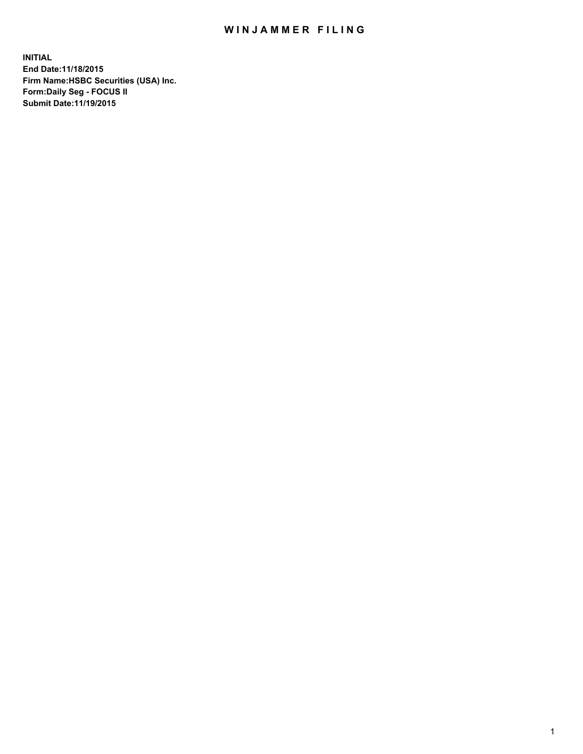## WIN JAMMER FILING

**INITIAL End Date:11/18/2015 Firm Name:HSBC Securities (USA) Inc. Form:Daily Seg - FOCUS II Submit Date:11/19/2015**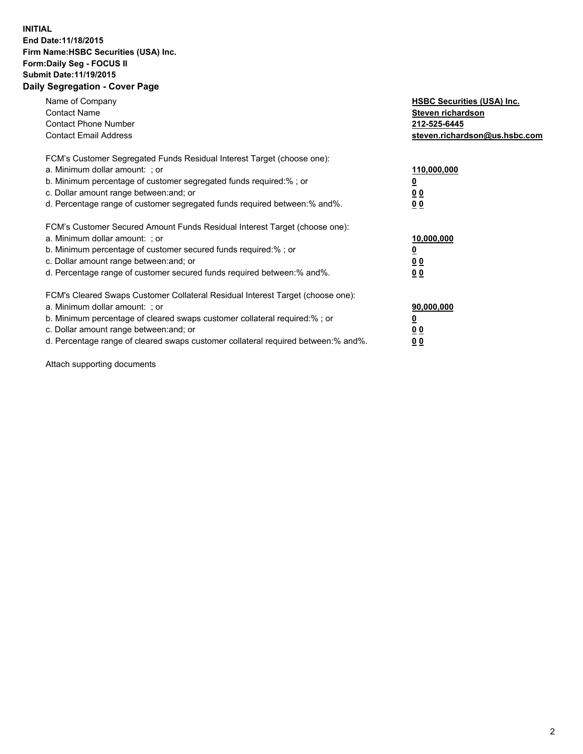## **INITIAL End Date:11/18/2015 Firm Name:HSBC Securities (USA) Inc. Form:Daily Seg - FOCUS II Submit Date:11/19/2015 Daily Segregation - Cover Page**

| Name of Company<br><b>Contact Name</b><br><b>Contact Phone Number</b><br><b>Contact Email Address</b>                                                                                                                                                                                                                          | <b>HSBC Securities (USA) Inc.</b><br>Steven richardson<br>212-525-6445<br>steven.richardson@us.hsbc.com |
|--------------------------------------------------------------------------------------------------------------------------------------------------------------------------------------------------------------------------------------------------------------------------------------------------------------------------------|---------------------------------------------------------------------------------------------------------|
| FCM's Customer Segregated Funds Residual Interest Target (choose one):<br>a. Minimum dollar amount: ; or<br>b. Minimum percentage of customer segregated funds required:%; or<br>c. Dollar amount range between: and; or<br>d. Percentage range of customer segregated funds required between: % and %.                        | 110,000,000<br><u>0</u><br>0 <sub>0</sub><br>0 <sub>0</sub>                                             |
| FCM's Customer Secured Amount Funds Residual Interest Target (choose one):<br>a. Minimum dollar amount: ; or<br>b. Minimum percentage of customer secured funds required:%; or<br>c. Dollar amount range between: and; or<br>d. Percentage range of customer secured funds required between:% and%.                            | 10,000,000<br><u>0</u><br>0 <sub>0</sub><br>0 <sub>0</sub>                                              |
| FCM's Cleared Swaps Customer Collateral Residual Interest Target (choose one):<br>a. Minimum dollar amount: ; or<br>b. Minimum percentage of cleared swaps customer collateral required:% ; or<br>c. Dollar amount range between: and; or<br>d. Percentage range of cleared swaps customer collateral required between:% and%. | 90,000,000<br>0 <sub>0</sub><br>00                                                                      |

Attach supporting documents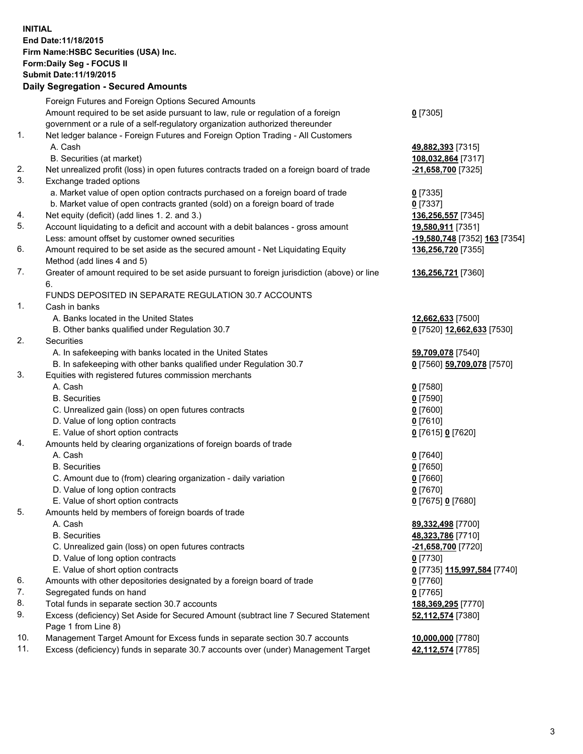**INITIAL End Date:11/18/2015 Firm Name:HSBC Securities (USA) Inc. Form:Daily Seg - FOCUS II Submit Date:11/19/2015**

## **Daily Segregation - Secured Amounts** Foreign Futures and Foreign Options Secured Amounts Amount required to be set aside pursuant to law, rule or regulation of a foreign government or a rule of a self-regulatory organization authorized thereunder **0** [7305] 1. Net ledger balance - Foreign Futures and Foreign Option Trading - All Customers A. Cash **49,882,393** [7315] B. Securities (at market) **108,032,864** [7317] 2. Net unrealized profit (loss) in open futures contracts traded on a foreign board of trade **-21,658,700** [7325] 3. Exchange traded options a. Market value of open option contracts purchased on a foreign board of trade **0** [7335] b. Market value of open contracts granted (sold) on a foreign board of trade **0** [7337] 4. Net equity (deficit) (add lines 1. 2. and 3.) **136,256,557** [7345] 5. Account liquidating to a deficit and account with a debit balances - gross amount **19,580,911** [7351] Less: amount offset by customer owned securities **-19,580,748** [7352] **163** [7354] 6. Amount required to be set aside as the secured amount - Net Liquidating Equity Method (add lines 4 and 5) **136,256,720** [7355] 7. Greater of amount required to be set aside pursuant to foreign jurisdiction (above) or line 6. **136,256,721** [7360] FUNDS DEPOSITED IN SEPARATE REGULATION 30.7 ACCOUNTS 1. Cash in banks A. Banks located in the United States **12,662,633** [7500] B. Other banks qualified under Regulation 30.7 **0** [7520] **12,662,633** [7530] 2. Securities A. In safekeeping with banks located in the United States **59,709,078** [7540] B. In safekeeping with other banks qualified under Regulation 30.7 **0** [7560] **59,709,078** [7570] 3. Equities with registered futures commission merchants A. Cash **0** [7580] B. Securities **0** [7590] C. Unrealized gain (loss) on open futures contracts **0** [7600] D. Value of long option contracts **0** [7610] E. Value of short option contracts **0** [7615] **0** [7620] 4. Amounts held by clearing organizations of foreign boards of trade A. Cash **0** [7640] B. Securities **0** [7650] C. Amount due to (from) clearing organization - daily variation **0** [7660] D. Value of long option contracts **0** [7670] E. Value of short option contracts **0** [7675] **0** [7680] 5. Amounts held by members of foreign boards of trade A. Cash **89,332,498** [7700] B. Securities **48,323,786** [7710] C. Unrealized gain (loss) on open futures contracts **-21,658,700** [7720] D. Value of long option contracts **0** [7730] E. Value of short option contracts **0** [7735] **115,997,584** [7740] 6. Amounts with other depositories designated by a foreign board of trade **0** [7760] 7. Segregated funds on hand **0** [7765]

8. Total funds in separate section 30.7 accounts **188,369,295** [7770]

9. Excess (deficiency) Set Aside for Secured Amount (subtract line 7 Secured Statement Page 1 from Line 8)

10. Management Target Amount for Excess funds in separate section 30.7 accounts **10,000,000** [7780]

11. Excess (deficiency) funds in separate 30.7 accounts over (under) Management Target **42,112,574** [7785]

**52,112,574** [7380]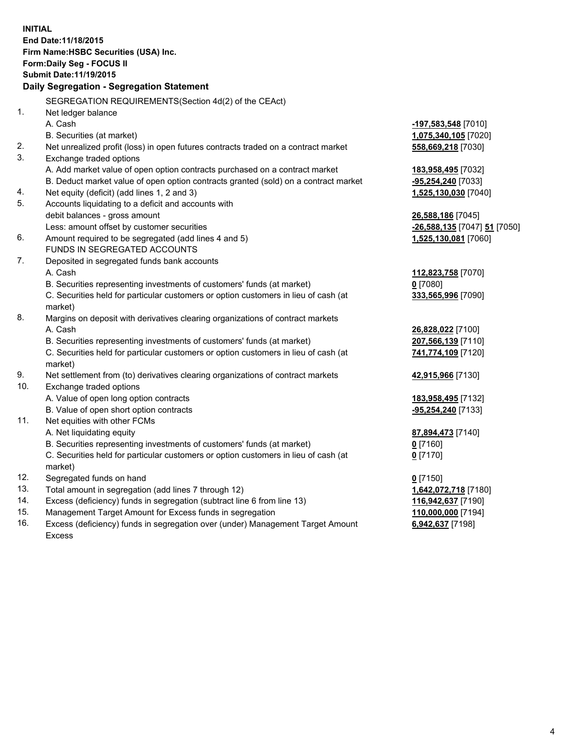**INITIAL End Date:11/18/2015 Firm Name:HSBC Securities (USA) Inc. Form:Daily Seg - FOCUS II Submit Date:11/19/2015 Daily Segregation - Segregation Statement** SEGREGATION REQUIREMENTS(Section 4d(2) of the CEAct) 1. Net ledger balance A. Cash **-197,583,548** [7010] B. Securities (at market) **1,075,340,105** [7020] 2. Net unrealized profit (loss) in open futures contracts traded on a contract market **558,669,218** [7030] 3. Exchange traded options A. Add market value of open option contracts purchased on a contract market **183,958,495** [7032] B. Deduct market value of open option contracts granted (sold) on a contract market **-95,254,240** [7033] 4. Net equity (deficit) (add lines 1, 2 and 3) **1,525,130,030** [7040] 5. Accounts liquidating to a deficit and accounts with debit balances - gross amount **26,588,186** [7045] Less: amount offset by customer securities **-26,588,135** [7047] **51** [7050] 6. Amount required to be segregated (add lines 4 and 5) **1,525,130,081** [7060] FUNDS IN SEGREGATED ACCOUNTS 7. Deposited in segregated funds bank accounts A. Cash **112,823,758** [7070] B. Securities representing investments of customers' funds (at market) **0** [7080] C. Securities held for particular customers or option customers in lieu of cash (at market) **333,565,996** [7090] 8. Margins on deposit with derivatives clearing organizations of contract markets A. Cash **26,828,022** [7100] B. Securities representing investments of customers' funds (at market) **207,566,139** [7110] C. Securities held for particular customers or option customers in lieu of cash (at market) **741,774,109** [7120] 9. Net settlement from (to) derivatives clearing organizations of contract markets **42,915,966** [7130] 10. Exchange traded options A. Value of open long option contracts **183,958,495** [7132] B. Value of open short option contracts **-95,254,240** [7133] 11. Net equities with other FCMs A. Net liquidating equity **87,894,473** [7140] B. Securities representing investments of customers' funds (at market) **0** [7160] C. Securities held for particular customers or option customers in lieu of cash (at market) **0** [7170] 12. Segregated funds on hand **0** [7150] 13. Total amount in segregation (add lines 7 through 12) **1,642,072,718** [7180] 14. Excess (deficiency) funds in segregation (subtract line 6 from line 13) **116,942,637** [7190] 15. Management Target Amount for Excess funds in segregation **110,000,000** [7194]

16. Excess (deficiency) funds in segregation over (under) Management Target Amount Excess

**6,942,637** [7198]